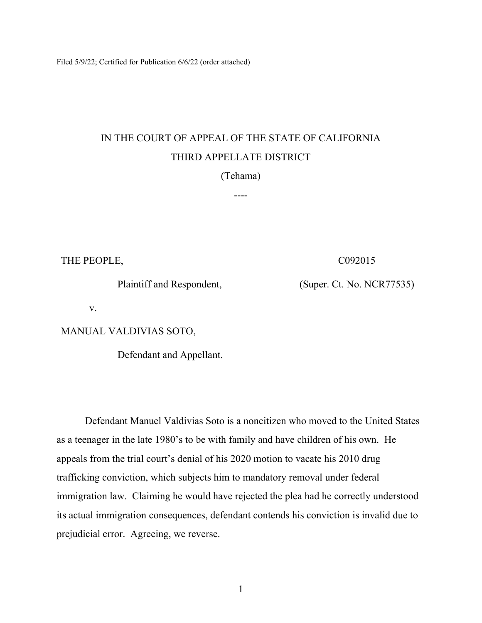Filed 5/9/22; Certified for Publication 6/6/22 (order attached)

# IN THE COURT OF APPEAL OF THE STATE OF CALIFORNIA THIRD APPELLATE DISTRICT

### (Tehama)

----

THE PEOPLE,

Plaintiff and Respondent,

v.

MANUAL VALDIVIAS SOTO,

Defendant and Appellant.

C092015

(Super. Ct. No. NCR77535)

Defendant Manuel Valdivias Soto is a noncitizen who moved to the United States as a teenager in the late 1980's to be with family and have children of his own. He appeals from the trial court's denial of his 2020 motion to vacate his 2010 drug trafficking conviction, which subjects him to mandatory removal under federal immigration law. Claiming he would have rejected the plea had he correctly understood its actual immigration consequences, defendant contends his conviction is invalid due to prejudicial error. Agreeing, we reverse.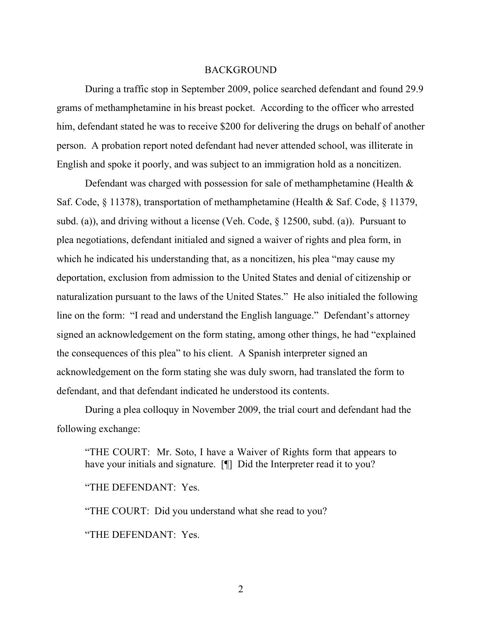### BACKGROUND

During a traffic stop in September 2009, police searched defendant and found 29.9 grams of methamphetamine in his breast pocket. According to the officer who arrested him, defendant stated he was to receive \$200 for delivering the drugs on behalf of another person. A probation report noted defendant had never attended school, was illiterate in English and spoke it poorly, and was subject to an immigration hold as a noncitizen.

Defendant was charged with possession for sale of methamphetamine (Health & Saf. Code, § 11378), transportation of methamphetamine (Health & Saf. Code, § 11379, subd. (a)), and driving without a license (Veh. Code,  $\S$  12500, subd. (a)). Pursuant to plea negotiations, defendant initialed and signed a waiver of rights and plea form, in which he indicated his understanding that, as a noncitizen, his plea "may cause my deportation, exclusion from admission to the United States and denial of citizenship or naturalization pursuant to the laws of the United States." He also initialed the following line on the form: "I read and understand the English language." Defendant's attorney signed an acknowledgement on the form stating, among other things, he had "explained the consequences of this plea" to his client. A Spanish interpreter signed an acknowledgement on the form stating she was duly sworn, had translated the form to defendant, and that defendant indicated he understood its contents.

During a plea colloquy in November 2009, the trial court and defendant had the following exchange:

"THE COURT: Mr. Soto, I have a Waiver of Rights form that appears to have your initials and signature. [¶] Did the Interpreter read it to you?

"THE DEFENDANT: Yes.

"THE COURT: Did you understand what she read to you?

"THE DEFENDANT: Yes.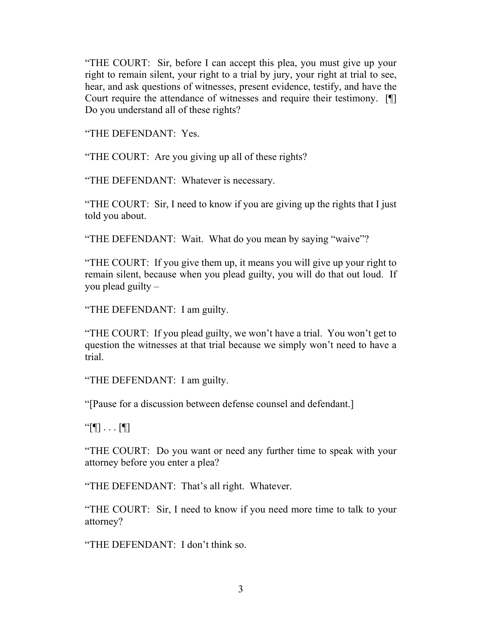"THE COURT: Sir, before I can accept this plea, you must give up your right to remain silent, your right to a trial by jury, your right at trial to see, hear, and ask questions of witnesses, present evidence, testify, and have the Court require the attendance of witnesses and require their testimony. [¶] Do you understand all of these rights?

"THE DEFENDANT: Yes.

"THE COURT: Are you giving up all of these rights?

"THE DEFENDANT: Whatever is necessary.

"THE COURT: Sir, I need to know if you are giving up the rights that I just told you about.

"THE DEFENDANT: Wait. What do you mean by saying "waive"?

"THE COURT: If you give them up, it means you will give up your right to remain silent, because when you plead guilty, you will do that out loud. If you plead guilty –

"THE DEFENDANT: I am guilty.

"THE COURT: If you plead guilty, we won't have a trial. You won't get to question the witnesses at that trial because we simply won't need to have a trial.

"THE DEFENDANT: I am guilty.

"[Pause for a discussion between defense counsel and defendant.]

 $"[\P] \ldots [\P]$ 

"THE COURT: Do you want or need any further time to speak with your attorney before you enter a plea?

"THE DEFENDANT: That's all right. Whatever.

"THE COURT: Sir, I need to know if you need more time to talk to your attorney?

"THE DEFENDANT: I don't think so.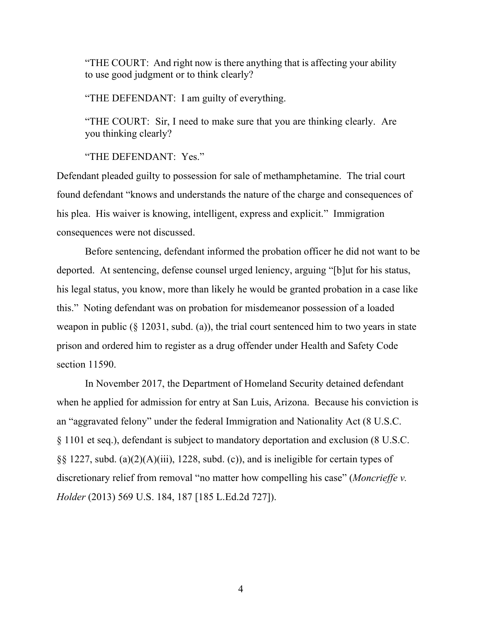"THE COURT: And right now is there anything that is affecting your ability to use good judgment or to think clearly?

"THE DEFENDANT: I am guilty of everything.

"THE COURT: Sir, I need to make sure that you are thinking clearly. Are you thinking clearly?

"THE DEFENDANT: Yes."

Defendant pleaded guilty to possession for sale of methamphetamine. The trial court found defendant "knows and understands the nature of the charge and consequences of his plea. His waiver is knowing, intelligent, express and explicit." Immigration consequences were not discussed.

Before sentencing, defendant informed the probation officer he did not want to be deported. At sentencing, defense counsel urged leniency, arguing "[b]ut for his status, his legal status, you know, more than likely he would be granted probation in a case like this." Noting defendant was on probation for misdemeanor possession of a loaded weapon in public (§ 12031, subd. (a)), the trial court sentenced him to two years in state prison and ordered him to register as a drug offender under Health and Safety Code section 11590.

In November 2017, the Department of Homeland Security detained defendant when he applied for admission for entry at San Luis, Arizona. Because his conviction is an "aggravated felony" under the federal Immigration and Nationality Act (8 U.S.C. § 1101 et seq.), defendant is subject to mandatory deportation and exclusion (8 U.S.C. §§ 1227, subd. (a)(2)(A)(iii), 1228, subd. (c)), and is ineligible for certain types of discretionary relief from removal "no matter how compelling his case" (*Moncrieffe v. Holder* (2013) 569 U.S. 184, 187 [185 L.Ed.2d 727]).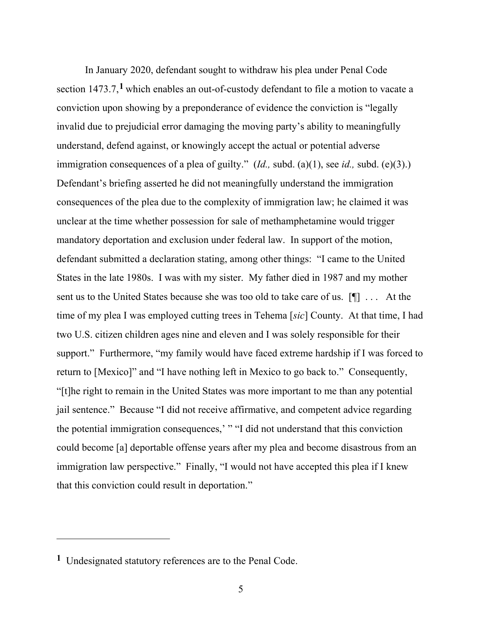In January 2020, defendant sought to withdraw his plea under Penal Code section 1473.7, **[1](#page-4-0)** which enables an out-of-custody defendant to file a motion to vacate a conviction upon showing by a preponderance of evidence the conviction is "legally invalid due to prejudicial error damaging the moving party's ability to meaningfully understand, defend against, or knowingly accept the actual or potential adverse immigration consequences of a plea of guilty." (*Id.,* subd. (a)(1), see *id.,* subd. (e)(3).) Defendant's briefing asserted he did not meaningfully understand the immigration consequences of the plea due to the complexity of immigration law; he claimed it was unclear at the time whether possession for sale of methamphetamine would trigger mandatory deportation and exclusion under federal law. In support of the motion, defendant submitted a declaration stating, among other things: "I came to the United States in the late 1980s. I was with my sister. My father died in 1987 and my mother sent us to the United States because she was too old to take care of us. [¶] . . . At the time of my plea I was employed cutting trees in Tehema [*sic*] County. At that time, I had two U.S. citizen children ages nine and eleven and I was solely responsible for their support." Furthermore, "my family would have faced extreme hardship if I was forced to return to [Mexico]" and "I have nothing left in Mexico to go back to." Consequently, "[t]he right to remain in the United States was more important to me than any potential jail sentence." Because "I did not receive affirmative, and competent advice regarding the potential immigration consequences,' " "I did not understand that this conviction could become [a] deportable offense years after my plea and become disastrous from an immigration law perspective." Finally, "I would not have accepted this plea if I knew that this conviction could result in deportation."

<span id="page-4-0"></span>**<sup>1</sup>** Undesignated statutory references are to the Penal Code.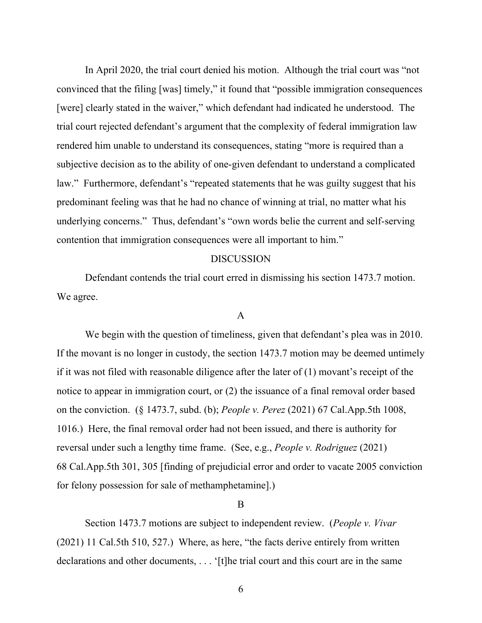In April 2020, the trial court denied his motion. Although the trial court was "not convinced that the filing [was] timely," it found that "possible immigration consequences [were] clearly stated in the waiver," which defendant had indicated he understood. The trial court rejected defendant's argument that the complexity of federal immigration law rendered him unable to understand its consequences, stating "more is required than a subjective decision as to the ability of one-given defendant to understand a complicated law." Furthermore, defendant's "repeated statements that he was guilty suggest that his predominant feeling was that he had no chance of winning at trial, no matter what his underlying concerns." Thus, defendant's "own words belie the current and self-serving contention that immigration consequences were all important to him."

#### **DISCUSSION**

Defendant contends the trial court erred in dismissing his section 1473.7 motion. We agree.

## A

We begin with the question of timeliness, given that defendant's plea was in 2010. If the movant is no longer in custody, the section 1473.7 motion may be deemed untimely if it was not filed with reasonable diligence after the later of (1) movant's receipt of the notice to appear in immigration court, or (2) the issuance of a final removal order based on the conviction. (§ 1473.7, subd. (b); *People v. Perez* (2021) 67 Cal.App.5th 1008, 1016.) Here, the final removal order had not been issued, and there is authority for reversal under such a lengthy time frame. (See, e.g., *People v. Rodriguez* (2021) 68 Cal.App.5th 301, 305 [finding of prejudicial error and order to vacate 2005 conviction for felony possession for sale of methamphetamine].)

#### B

Section 1473.7 motions are subject to independent review. (*People v. Vivar* (2021) 11 Cal.5th 510, 527.) Where, as here, "the facts derive entirely from written declarations and other documents, . . . '[t]he trial court and this court are in the same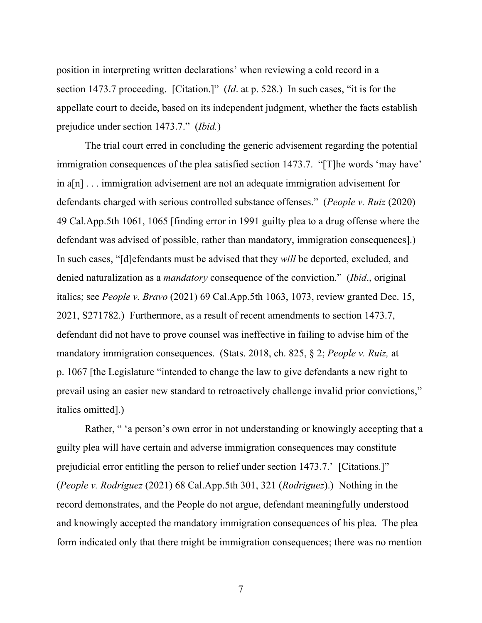position in interpreting written declarations' when reviewing a cold record in a section 1473.7 proceeding. [Citation.]" (*Id*. at p. 528.) In such cases, "it is for the appellate court to decide, based on its independent judgment, whether the facts establish prejudice under section 1473.7." (*Ibid.*)

The trial court erred in concluding the generic advisement regarding the potential immigration consequences of the plea satisfied section 1473.7. "[T]he words 'may have' in a[n] . . . immigration advisement are not an adequate immigration advisement for defendants charged with serious controlled substance offenses." (*People v. Ruiz* (2020) 49 Cal.App.5th 1061, 1065 [finding error in 1991 guilty plea to a drug offense where the defendant was advised of possible, rather than mandatory, immigration consequences].) In such cases, "[d]efendants must be advised that they *will* be deported, excluded, and denied naturalization as a *mandatory* consequence of the conviction." (*Ibid*., original italics; see *People v. Bravo* (2021) 69 Cal.App.5th 1063, 1073, review granted Dec. 15, 2021, S271782.) Furthermore, as a result of recent amendments to section 1473.7, defendant did not have to prove counsel was ineffective in failing to advise him of the mandatory immigration consequences. (Stats. 2018, ch. 825, § 2; *People v. Ruiz,* at p. 1067 [the Legislature "intended to change the law to give defendants a new right to prevail using an easier new standard to retroactively challenge invalid prior convictions," italics omitted].)

Rather, " 'a person's own error in not understanding or knowingly accepting that a guilty plea will have certain and adverse immigration consequences may constitute prejudicial error entitling the person to relief under section 1473.7.' [Citations.]" (*People v. Rodriguez* (2021) 68 Cal.App.5th 301, 321 (*Rodriguez*).) Nothing in the record demonstrates, and the People do not argue, defendant meaningfully understood and knowingly accepted the mandatory immigration consequences of his plea. The plea form indicated only that there might be immigration consequences; there was no mention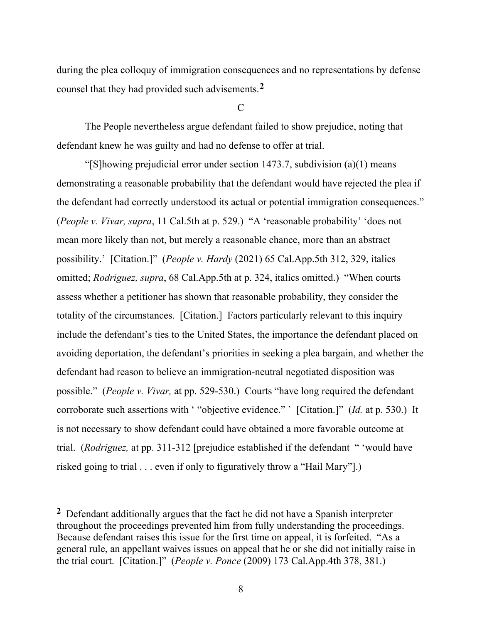during the plea colloquy of immigration consequences and no representations by defense counsel that they had provided such advisements.**[2](#page-7-0)**

 $\overline{C}$ 

The People nevertheless argue defendant failed to show prejudice, noting that defendant knew he was guilty and had no defense to offer at trial.

"[S]howing prejudicial error under section 1473.7, subdivision (a)(1) means demonstrating a reasonable probability that the defendant would have rejected the plea if the defendant had correctly understood its actual or potential immigration consequences." (*People v. Vivar, supra*, 11 Cal.5th at p. 529.) "A 'reasonable probability' 'does not mean more likely than not, but merely a reasonable chance, more than an abstract possibility.' [Citation.]" (*People v. Hardy* (2021) 65 Cal.App.5th 312, 329, italics omitted; *Rodriguez, supra*, 68 Cal.App.5th at p. 324, italics omitted.) "When courts assess whether a petitioner has shown that reasonable probability, they consider the totality of the circumstances. [Citation.] Factors particularly relevant to this inquiry include the defendant's ties to the United States, the importance the defendant placed on avoiding deportation, the defendant's priorities in seeking a plea bargain, and whether the defendant had reason to believe an immigration-neutral negotiated disposition was possible." (*People v. Vivar,* at pp. 529-530.) Courts "have long required the defendant corroborate such assertions with ' "objective evidence." ' [Citation.]" (*Id.* at p. 530.) It is not necessary to show defendant could have obtained a more favorable outcome at trial. (*Rodriguez,* at pp. 311-312 [prejudice established if the defendant " 'would have risked going to trial . . . even if only to figuratively throw a "Hail Mary"].)

<span id="page-7-0"></span>**<sup>2</sup>** Defendant additionally argues that the fact he did not have a Spanish interpreter throughout the proceedings prevented him from fully understanding the proceedings. Because defendant raises this issue for the first time on appeal, it is forfeited. "As a general rule, an appellant waives issues on appeal that he or she did not initially raise in the trial court. [Citation.]" (*People v. Ponce* (2009) 173 Cal.App.4th 378, 381.)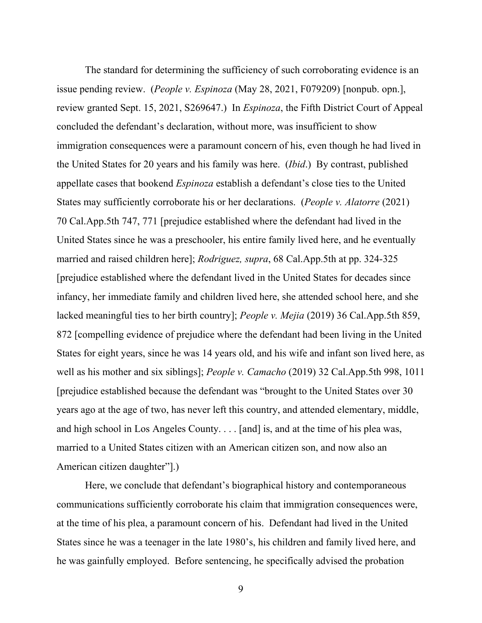The standard for determining the sufficiency of such corroborating evidence is an issue pending review. (*People v. Espinoza* (May 28, 2021, F079209) [nonpub. opn.], review granted Sept. 15, 2021, S269647.) In *Espinoza*, the Fifth District Court of Appeal concluded the defendant's declaration, without more, was insufficient to show immigration consequences were a paramount concern of his, even though he had lived in the United States for 20 years and his family was here. (*Ibid*.) By contrast, published appellate cases that bookend *Espinoza* establish a defendant's close ties to the United States may sufficiently corroborate his or her declarations. (*People v. Alatorre* (2021) 70 Cal.App.5th 747, 771 [prejudice established where the defendant had lived in the United States since he was a preschooler, his entire family lived here, and he eventually married and raised children here]; *Rodriguez, supra*, 68 Cal.App.5th at pp. 324-325 [prejudice established where the defendant lived in the United States for decades since infancy, her immediate family and children lived here, she attended school here, and she lacked meaningful ties to her birth country]; *People v. Mejia* (2019) 36 Cal.App.5th 859, 872 [compelling evidence of prejudice where the defendant had been living in the United States for eight years, since he was 14 years old, and his wife and infant son lived here, as well as his mother and six siblings]; *People v. Camacho* (2019) 32 Cal.App.5th 998, 1011 [prejudice established because the defendant was "brought to the United States over 30 years ago at the age of two, has never left this country, and attended elementary, middle, and high school in Los Angeles County. . . . [and] is, and at the time of his plea was, married to a United States citizen with an American citizen son, and now also an American citizen daughter"].)

Here, we conclude that defendant's biographical history and contemporaneous communications sufficiently corroborate his claim that immigration consequences were, at the time of his plea, a paramount concern of his. Defendant had lived in the United States since he was a teenager in the late 1980's, his children and family lived here, and he was gainfully employed. Before sentencing, he specifically advised the probation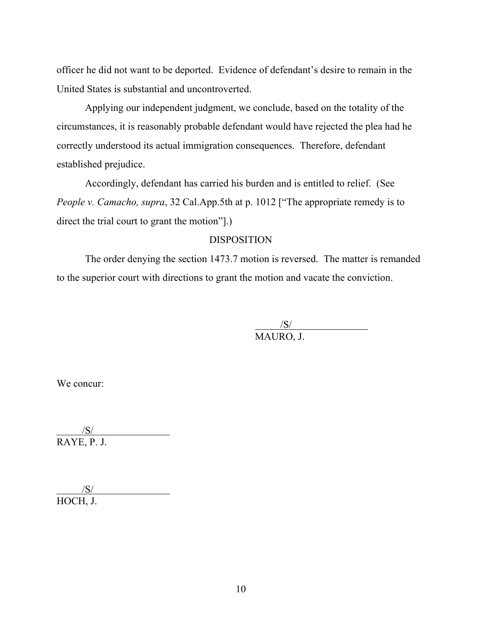officer he did not want to be deported. Evidence of defendant's desire to remain in the United States is substantial and uncontroverted.

Applying our independent judgment, we conclude, based on the totality of the circumstances, it is reasonably probable defendant would have rejected the plea had he correctly understood its actual immigration consequences. Therefore, defendant established prejudice.

Accordingly, defendant has carried his burden and is entitled to relief. (See *People v. Camacho, supra*, 32 Cal.App.5th at p. 1012 ["The appropriate remedy is to direct the trial court to grant the motion"].)

## DISPOSITION

The order denying the section 1473.7 motion is reversed. The matter is remanded to the superior court with directions to grant the motion and vacate the conviction.

> $\frac{|S|}{|S|}$ MAURO, J.

We concur:

 $/$ S/ $/$ RAYE, P. J.

 $\frac{|S|}{|S|}$ HOCH, J.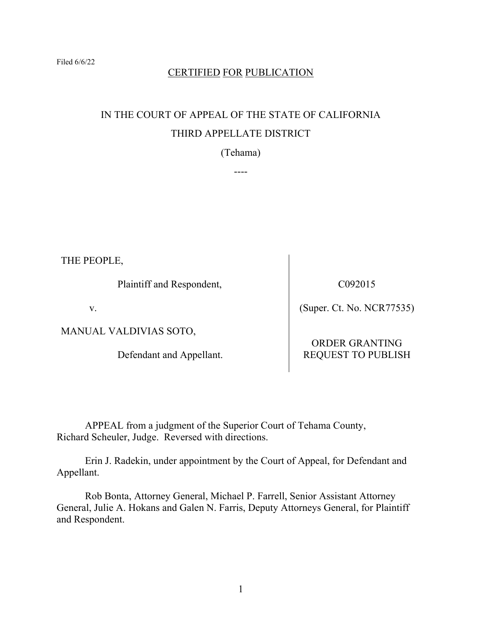# CERTIFIED FOR PUBLICATION

# IN THE COURT OF APPEAL OF THE STATE OF CALIFORNIA THIRD APPELLATE DISTRICT

(Tehama)

----

THE PEOPLE,

Plaintiff and Respondent,

v.

MANUAL VALDIVIAS SOTO,

Defendant and Appellant.

C092015

(Super. Ct. No. NCR77535)

ORDER GRANTING REQUEST TO PUBLISH

APPEAL from a judgment of the Superior Court of Tehama County, Richard Scheuler, Judge. Reversed with directions.

Erin J. Radekin, under appointment by the Court of Appeal, for Defendant and Appellant.

Rob Bonta, Attorney General, Michael P. Farrell, Senior Assistant Attorney General, Julie A. Hokans and Galen N. Farris, Deputy Attorneys General, for Plaintiff and Respondent.